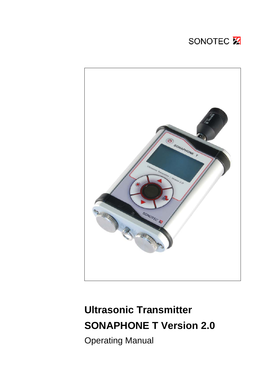# SONOTEC X



# **Ultrasonic Transmitter SONAPHONE T Version 2.0**

Operating Manual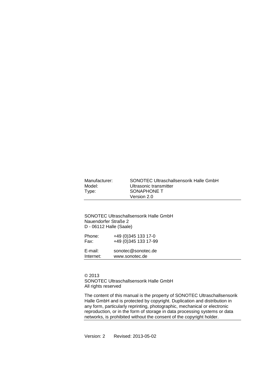| Manufacturer: | SONOTEC Ultraschallsensorik Halle GmbH |
|---------------|----------------------------------------|
| Model:        | Ultrasonic transmitter                 |
| Type:         | SONAPHONE T                            |
|               | Version 2.0                            |

SONOTEC Ultraschallsensorik Halle GmbH Nauendorfer Straße 2 D - 06112 Halle (Saale)

| Phone:    | +49 (0) 345 133 17-0  |
|-----------|-----------------------|
| Fax:      | +49 (0) 345 133 17-99 |
| E-mail:   | sonotec@sonotec.de    |
| Internet: | www.sonotec.de        |

© 2013 SONOTEC Ultraschallsensorik Halle GmbH All rights reserved

The content of this manual is the property of SONOTEC Ultraschallsensorik Halle GmbH and is protected by copyright. Duplication and distribution in any form, particularly reprinting, photographic, mechanical or electronic reproduction, or in the form of storage in data processing systems or data networks, is prohibited without the consent of the copyright holder.

Version: 2 Revised: 2013-05-02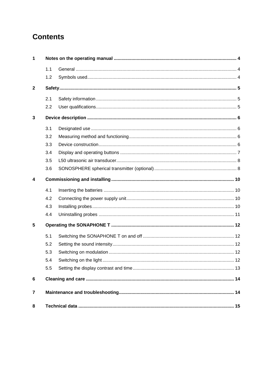# **Contents**

| $\mathbf 1$  |     |    |  |
|--------------|-----|----|--|
|              | 1.1 |    |  |
|              | 1.2 |    |  |
| $\mathbf{2}$ |     |    |  |
|              | 2.1 |    |  |
|              | 2.2 |    |  |
| $\mathbf{3}$ |     |    |  |
|              | 3.1 |    |  |
|              | 3.2 |    |  |
|              | 3.3 |    |  |
|              | 3.4 |    |  |
|              | 3.5 |    |  |
|              | 3.6 |    |  |
| 4            |     |    |  |
|              | 4.1 |    |  |
|              | 4.2 |    |  |
|              | 4.3 |    |  |
|              | 4.4 |    |  |
| 5            |     |    |  |
|              | 5.1 |    |  |
|              | 5.2 |    |  |
|              | 5.3 |    |  |
|              | 5.4 | 12 |  |
|              | 5.5 |    |  |
| 6            |     |    |  |
| 7            |     |    |  |
| 8            |     |    |  |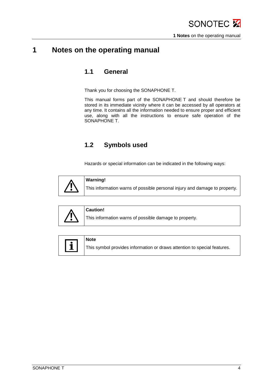#### <span id="page-3-1"></span><span id="page-3-0"></span>**1 Notes on the operating manual**

#### **1.1 General**

Thank you for choosing the SONAPHONE T.

This manual forms part of the SONAPHONE T and should therefore be stored in its immediate vicinity where it can be accessed by all operators at any time. It contains all the information needed to ensure proper and efficient use, along with all the instructions to ensure safe operation of the SONAPHONE T.

#### **1.2 Symbols used**

Hazards or special information can be indicated in the following ways:

<span id="page-3-2"></span>



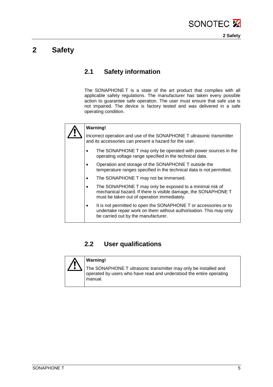

#### <span id="page-4-1"></span><span id="page-4-0"></span>**2 Safety**

#### **2.1 Safety information**

The SONAPHONE T is a state of the art product that complies with all applicable safety regulations. The manufacturer has taken every possible action to guarantee safe operation. The user must ensure that safe use is not impaired. The device is factory tested and was delivered in a safe operating condition.



#### **Warning!**

Incorrect operation and use of the SONAPHONE T ultrasonic transmitter and its accessories can present a hazard for the user.

- The SONAPHONE T may only be operated with power sources in the operating voltage range specified in the technical data.
- Operation and storage of the SONAPHONE T outside the temperature ranges specified in the technical data is not permitted.
- The SONAPHONE T may not be immersed.
- The SONAPHONE T may only be exposed to a minimal risk of mechanical hazard. If there is visible damage, the SONAPHONE T must be taken out of operation immediately.
- It is not permitted to open the SONAPHONE T or accessories or to undertake repair work on them without authorisation. This may only be carried out by the manufacturer.

#### **2.2 User qualifications**

<span id="page-4-2"></span>

#### **Warning!**

The SONAPHONE T ultrasonic transmitter may only be installed and operated by users who have read and understood the entire operating manual.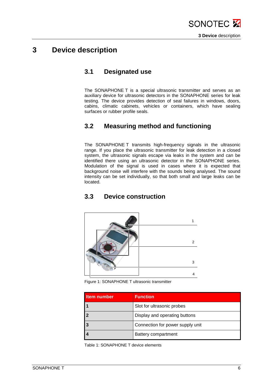

#### <span id="page-5-1"></span><span id="page-5-0"></span>**3 Device description**

#### **3.1 Designated use**

The SONAPHONE T is a special ultrasonic transmitter and serves as an auxiliary device for ultrasonic detectors in the SONAPHONE series for leak testing. The device provides detection of seal failures in windows, doors, cabins, climatic cabinets, vehicles or containers, which have sealing surfaces or rubber profile seals.

#### <span id="page-5-2"></span>**3.2 Measuring method and functioning**

The SONAPHONE T transmits high-frequency signals in the ultrasonic range. If you place the ultrasonic transmitter for leak detection in a closed system, the ultrasonic signals escape via leaks in the system and can be identified there using an ultrasonic detector in the SONAPHONE series. Modulation of the signal is used in cases where it is expected that background noise will interfere with the sounds being analysed. The sound intensity can be set individually, so that both small and large leaks can be located.

#### <span id="page-5-3"></span>**3.3 Device construction**



Figure 1: SONAPHONE T ultrasonic transmitter

| Item number | <b>Function</b>                  |
|-------------|----------------------------------|
|             | Slot for ultrasonic probes       |
| 2           | Display and operating buttons    |
| l 3         | Connection for power supply unit |
|             | Battery compartment              |

Table 1: SONAPHONE T device elements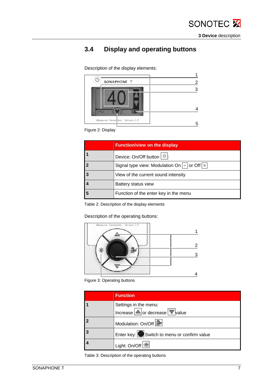

## <span id="page-6-0"></span>**3.4 Display and operating buttons**

Description of the display elements:



Figure 2: Display

|   | <b>Function/view on the display</b>                          |
|---|--------------------------------------------------------------|
|   | Device: On/Off button $\circledcirc$ .                       |
| 2 | Signal type view: Modulation On $\sqrt{2}$ or Off $\sqrt{2}$ |
| 3 | View of the current sound intensity                          |
|   | Battery status view                                          |
| 5 | Function of the enter key in the menu                        |

Table 2: Description of the display elements

Description of the operating buttons:



Figure 3: Operating buttons

|   | <b>Function</b>                                                               |
|---|-------------------------------------------------------------------------------|
|   | Settings in the menu:<br>Increase $\bigtriangleup$ or decrease $\nabla$ value |
| 2 | Modulation: On/Off                                                            |
| 3 | Enter key: Switch to menu or confirm value                                    |
|   | Light: On/Off <sup>[※]</sup>                                                  |

Table 3: Description of the operating buttons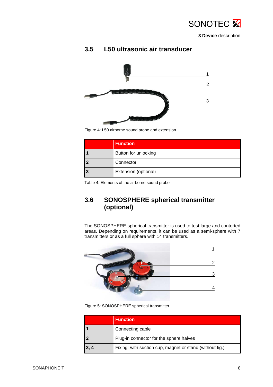

**3 Device** description

<span id="page-7-0"></span>

#### **3.5 L50 ultrasonic air transducer**

Figure 4: L50 airborne sound probe and extension

| <b>Function</b>      |
|----------------------|
| Button for unlocking |
| Connector            |
| Extension (optional) |

<span id="page-7-1"></span>Table 4: Elements of the airborne sound probe

#### **3.6 SONOSPHERE spherical transmitter (optional)**

The SONOSPHERE spherical transmitter is used to test large and contorted areas. Depending on requirements, it can be used as a semi-sphere with 7 transmitters or as a full sphere with 14 transmitters.



Figure 5: SONOSPHERE spherical transmitter

|      | <b>Function</b>                                          |  |
|------|----------------------------------------------------------|--|
|      | Connecting cable                                         |  |
|      | Plug-in connector for the sphere halves                  |  |
| 3, 4 | Fixing: with suction cup, magnet or stand (without fig.) |  |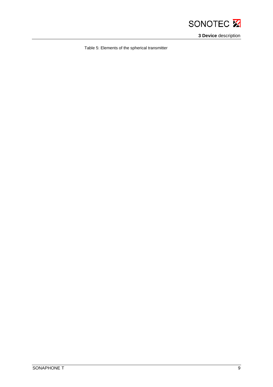

**3 Device** description

Table 5: Elements of the spherical transmitter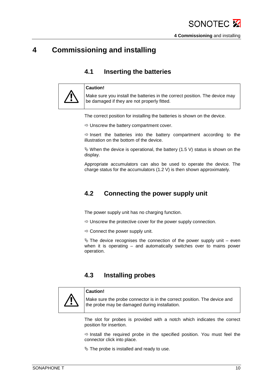## <span id="page-9-1"></span><span id="page-9-0"></span>**4 Commissioning and installing**

#### **4.1 Inserting the batteries**



**Caution!**

Make sure you install the batteries in the correct position. The device may be damaged if they are not properly fitted.

The correct position for installing the batteries is shown on the device.

 $\Rightarrow$  Unscrew the battery compartment cover.

 $\Rightarrow$  lnsert the batteries into the battery compartment according to the illustration on the bottom of the device.

 $\%$  When the device is operational, the battery (1.5 V) status is shown on the display.

Appropriate accumulators can also be used to operate the device. The charge status for the accumulators (1.2 V) is then shown approximately.

#### <span id="page-9-2"></span>**4.2 Connecting the power supply unit**

The power supply unit has no charging function.

- $\Rightarrow$  Unscrew the protective cover for the power supply connection.
- $\Rightarrow$  Connect the power supply unit.

 $\%$  The device recognises the connection of the power supply unit – even when it is operating – and automatically switches over to mains power operation.

#### **4.3 Installing probes**

<span id="page-9-3"></span>

#### **Caution!**

Make sure the probe connector is in the correct position. The device and the probe may be damaged during installation.

The slot for probes is provided with a notch which indicates the correct position for insertion.

 $\Rightarrow$  Install the required probe in the specified position. You must feel the connector click into place.

 $\%$  The probe is installed and ready to use.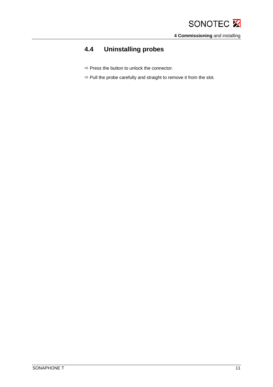# <span id="page-10-0"></span>**4.4 Uninstalling probes**

- $\Rightarrow$  Press the button to unlock the connector.
- $\Rightarrow$  Pull the probe carefully and straight to remove it from the slot.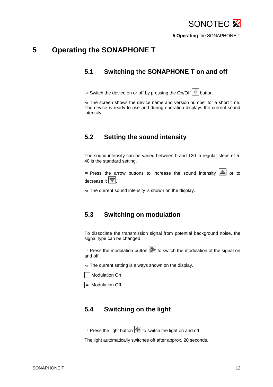## <span id="page-11-1"></span><span id="page-11-0"></span>**5 Operating the SONAPHONE T**

#### **5.1 Switching the SONAPHONE T on and off**

 $\Rightarrow$  Switch the device on or off by pressing the On/Off  $\circledcirc$  button.

 $\&$  The screen shows the device name and version number for a short time. The device is ready to use and during operation displays the current sound intensity.

#### <span id="page-11-2"></span>**5.2 Setting the sound intensity**

The sound intensity can be varied between 0 and 120 in regular steps of 5. 40 is the standard setting.

 $\Rightarrow$  Press the arrow buttons to increase the sound intensity  $\left|\triangle\right|$  or to decrease it  $\nabla$ .

 $\&$  The current sound intensity is shown on the display.

#### <span id="page-11-3"></span>**5.3 Switching on modulation**

To dissociate the transmission signal from potential background noise, the signal type can be changed.

 $\Rightarrow$  Press the modulation button  $\left|\frac{1}{2}x\right|$  to switch the modulation of the signal on and off.

 $\&$  The current setting is always shown on the display.

 $\sqrt{2}$  Modulation On

 $\boxed{=}$  Modulation Off

#### <span id="page-11-4"></span>**5.4 Switching on the light**

Press the light button  $\mathbb{R}$  to switch the light on and off.

The light automatically switches off after approx. 20 seconds.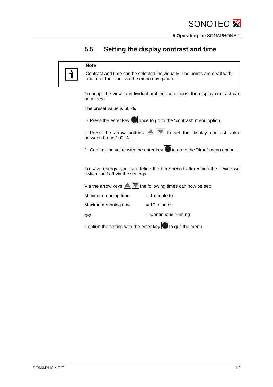#### <span id="page-12-0"></span>**5.5 Setting the display contrast and time**

#### **Note**

Contrast and time can be selected individually. The points are dealt with one after the other via the menu navigation.

To adapt the view to individual ambient conditions, the display contrast can be altered.

The preset value is 50 %.

 $\Rightarrow$  Press the enter key once to go to the "contrast" menu option.

 $\Rightarrow$  Press the arrow buttons  $\boxed{\triangle}$   $\boxed{\triangledown}$  to set the display contrast value between 0 and 100 %.

 $\&$  Confirm the value with the enter key  $\bigcirc$  to go to the "time" menu option.

To save energy, you can define the time period after which the device will switch itself off via the settings.

Via the arrow keys  $\Delta$   $\triangledown$  the following times can now be set:

| Minimum running time | $=$ 1 minute to        |
|----------------------|------------------------|
| Maximum running time | $= 10$ minutes         |
| $\infty$             | $=$ Continuous running |
|                      |                        |

Confirm the setting with the enter key  $\bigcup$  to quit the menu.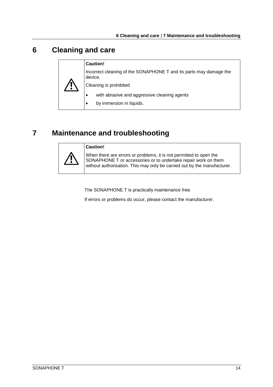## <span id="page-13-0"></span>**6 Cleaning and care**

#### **Caution!**

Incorrect cleaning of the SONAPHONE T and its parts may damage the device.

Cleaning is prohibited

- with abrasive and aggressive cleaning agents
- by immersion in liquids.

## <span id="page-13-1"></span>**7 Maintenance and troubleshooting**



**Caution!**

When there are errors or problems, it is not permitted to open the SONAPHONE T or accessories or to undertake repair work on them without authorisation. This may only be carried out by the manufacturer.

The SONAPHONE T is practically maintenance free.

If errors or problems do occur, please contact the manufacturer.